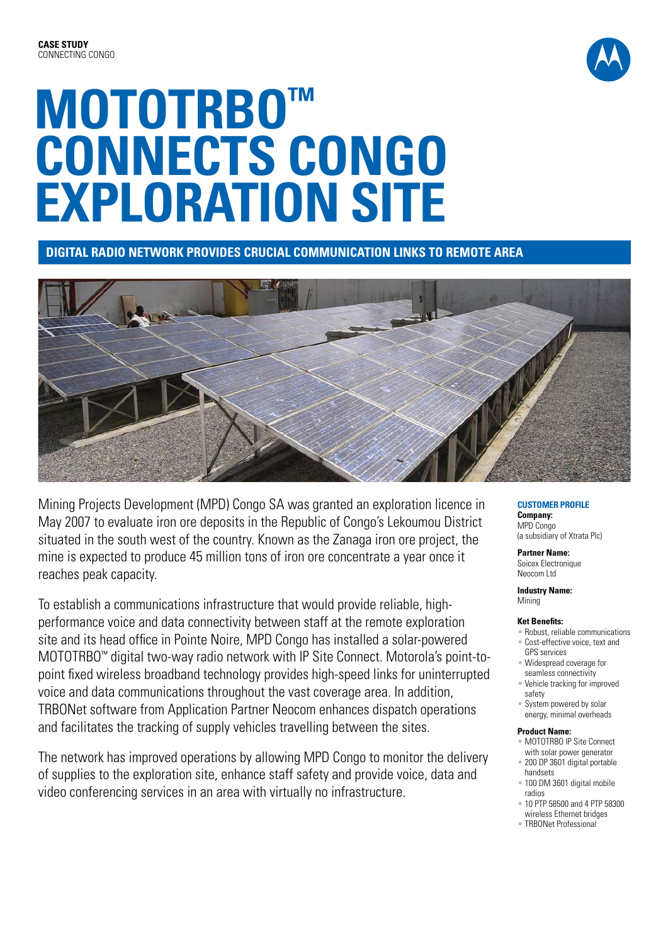

# **MOTOTRBO™ Connects Congo Exploration Site**

**Digital radio network provides crucial communication links to remote area**



Mining Projects Development (MPD) Congo SA was granted an exploration licence in May 2007 to evaluate iron ore deposits in the Republic of Congo's Lekoumou District situated in the south west of the country. Known as the Zanaga iron ore project, the mine is expected to produce 45 million tons of iron ore concentrate a year once it reaches peak capacity.

To establish a communications infrastructure that would provide reliable, highperformance voice and data connectivity between staff at the remote exploration site and its head office in Pointe Noire, MPD Congo has installed a solar-powered MOTOTRBO™ digital two-way radio network with IP Site Connect. Motorola's point-topoint fixed wireless broadband technology provides high-speed links for uninterrupted voice and data communications throughout the vast coverage area. In addition, TRBONet software from Application Partner Neocom enhances dispatch operations and facilitates the tracking of supply vehicles travelling between the sites.

The network has improved operations by allowing MPD Congo to monitor the delivery of supplies to the exploration site, enhance staff safety and provide voice, data and video conferencing services in an area with virtually no infrastructure.

## **CUSTOMER PROFILE**

**Company:** MPD Congo (a subsidiary of Xtrata Plc)

### **Partner Name:**

Soicex Electronique Neocom Ltd

**Industry Name:**  Mining

#### **Ket Benefits:**

- Robust, reliable communications
- Cost-effective voice, text and GPS services
- Widespread coverage for seamless connectivity
- Vehicle tracking for improved safety
- System powered by solar energy, minimal overheads

#### **Product Name:**

- MOTOTRBO IP Site Connect with solar power generator
- 200 DP 3601 digital portable handsets
- 100 DM 3601 digital mobile radios
- 10 PTP 58500 and 4 PTP 58300 wireless Ethernet bridges
- TRBONet Professional